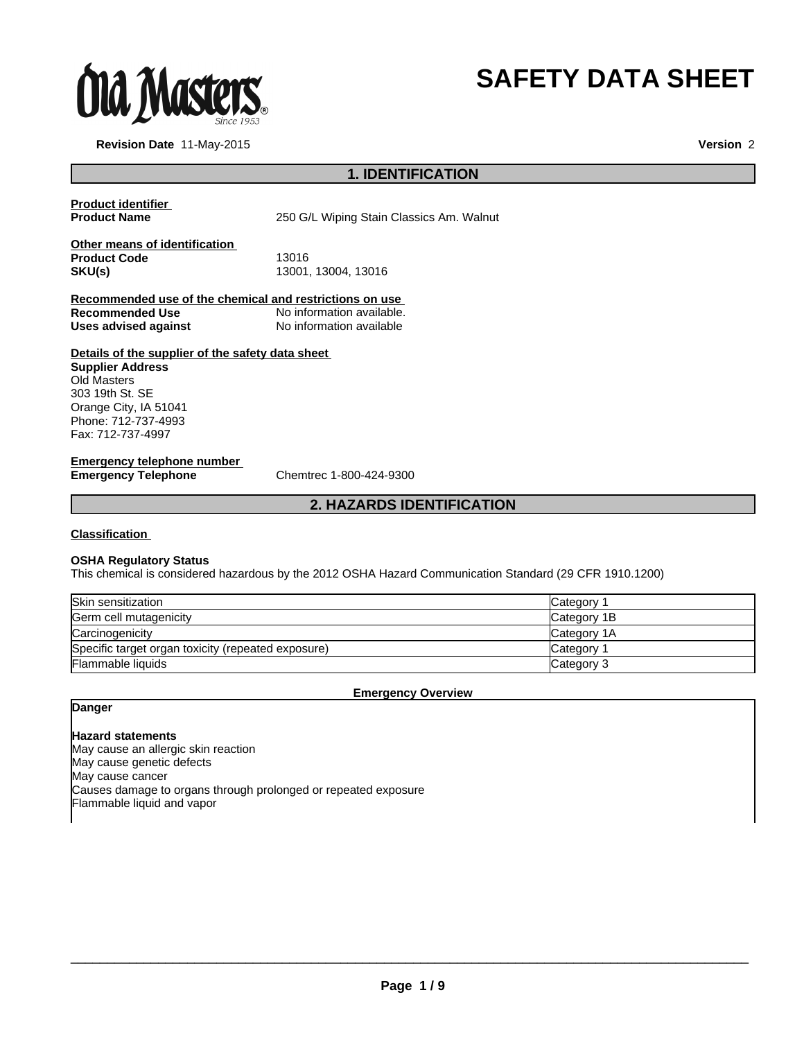

# **SAFETY DATA SHEET**

**Revision Date** 11-May-2015

**Version** 2

# **1. IDENTIFICATION**

**Product identifier** 

250 G/L Wiping Stain Classics Am. Walnut

| Other means of identification |                     |  |
|-------------------------------|---------------------|--|
| <b>Product Code</b>           | 13016               |  |
| SKU(s)                        | 13001, 13004, 13016 |  |

**Recommended use of the chemical and restrictions on use**  No information available.<br>No information available **Uses advised against** 

# **Details of the supplier of the safety data sheet**

**Supplier Address** Old Masters 303 19th St. SE Orange City, IA 51041 Phone: 712-737-4993 Fax: 712-737-4997

# **Emergency telephone number<br>Emergency Telephone**

**Emergency Telephone** Chemtrec 1-800-424-9300

# **2. HAZARDS IDENTIFICATION**

#### **Classification**

#### **OSHA Regulatory Status**

This chemical is considered hazardous by the 2012 OSHA Hazard Communication Standard (29 CFR 1910.1200)

| Skin sensitization                                 | Category    |
|----------------------------------------------------|-------------|
| Germ cell mutagenicity                             | Category 1B |
| Carcinogenicity                                    | Category 1A |
| Specific target organ toxicity (repeated exposure) | Category    |
| Flammable liquids                                  | Category 3  |

#### **Emergency Overview**

# **Danger**

# **Hazard statements**

May cause an allergic skin reaction May cause genetic defects May cause cancer Causes damage to organs through prolonged or repeated exposure Flammable liquid and vapor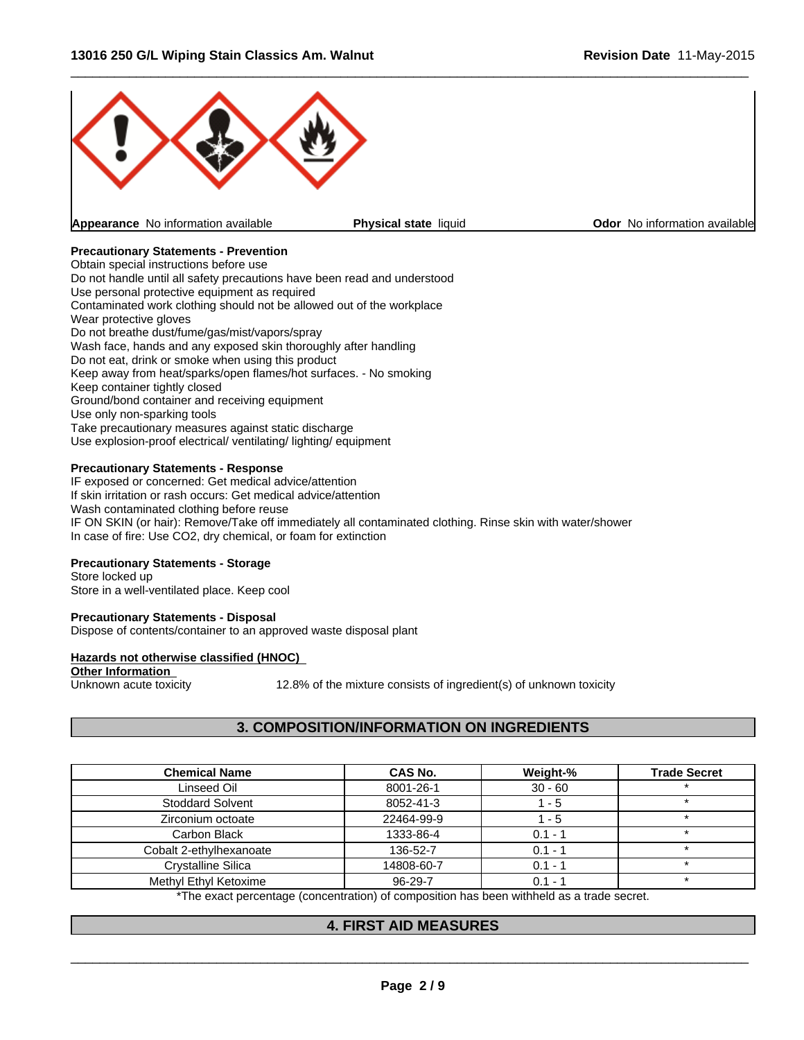

# **Precautionary Statements - Prevention**

Obtain special instructions before use Do not handle until all safety precautions have been read and understood Use personal protective equipment as required Contaminated work clothing should not be allowed out of the workplace Wear protective gloves Do not breathe dust/fume/gas/mist/vapors/spray Wash face, hands and any exposed skin thoroughly after handling Do not eat, drink or smoke when using this product Keep away from heat/sparks/open flames/hot surfaces. - No smoking Keep container tightly closed Ground/bond container and receiving equipment Use only non-sparking tools Take precautionary measures against static discharge Use explosion-proof electrical/ ventilating/ lighting/ equipment

### **Precautionary Statements - Response**

IF exposed or concerned: Get medical advice/attention If skin irritation or rash occurs: Get medical advice/attention Wash contaminated clothing before reuse IF ON SKIN (or hair): Remove/Take off immediately all contaminated clothing. Rinse skin with water/shower In case of fire: Use CO2, dry chemical, or foam for extinction

# **Precautionary Statements - Storage**

Store locked up Store in a well-ventilated place. Keep cool

#### **Precautionary Statements - Disposal**

Dispose of contents/container to an approved waste disposal plant

#### **Hazards not otherwise classified (HNOC)**

**Other Information**<br>Unknown acute toxicity

12.8% of the mixture consists of ingredient(s) of unknown toxicity

# **3. COMPOSITION/INFORMATION ON INGREDIENTS**

| <b>Chemical Name</b>      | CAS No.       | Weight-%  | <b>Trade Secret</b> |
|---------------------------|---------------|-----------|---------------------|
| Linseed Oil               | 8001-26-1     | $30 - 60$ |                     |
| <b>Stoddard Solvent</b>   | 8052-41-3     | - 5       |                     |
| Zirconium octoate         | 22464-99-9    | - 5       |                     |
| Carbon Black              | 1333-86-4     | $0.1 - 1$ |                     |
| Cobalt 2-ethylhexanoate   | 136-52-7      | $0.1 - 1$ |                     |
| <b>Crystalline Silica</b> | 14808-60-7    | $0.1 - 1$ |                     |
| Methyl Ethyl Ketoxime     | $96 - 29 - 7$ | $0.1 - ?$ |                     |

\*The exact percentage (concentration) of composition has been withheld as a trade secret.

# **4. FIRST AID MEASURES**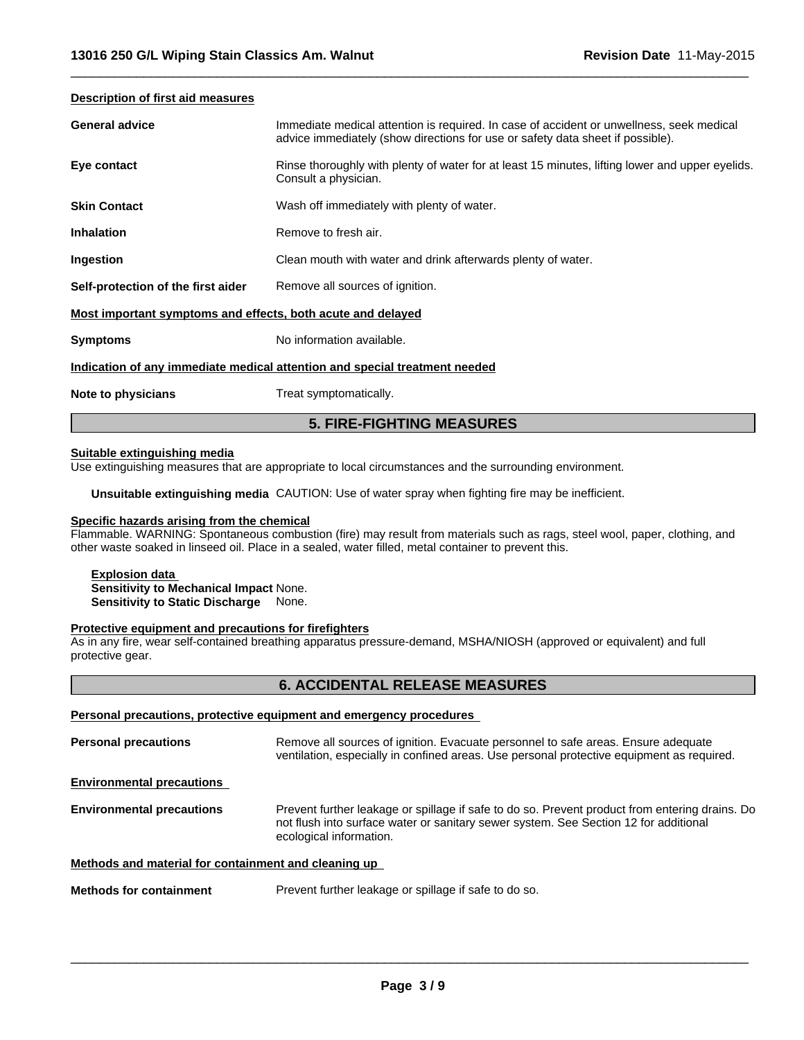#### **Description of first aid measures**

| <b>General advice</b>                                                      | Immediate medical attention is required. In case of accident or unwellness, seek medical<br>advice immediately (show directions for use or safety data sheet if possible). |  |  |
|----------------------------------------------------------------------------|----------------------------------------------------------------------------------------------------------------------------------------------------------------------------|--|--|
| Eye contact                                                                | Rinse thoroughly with plenty of water for at least 15 minutes, lifting lower and upper eyelids.<br>Consult a physician.                                                    |  |  |
| <b>Skin Contact</b>                                                        | Wash off immediately with plenty of water.                                                                                                                                 |  |  |
| <b>Inhalation</b>                                                          | Remove to fresh air.                                                                                                                                                       |  |  |
| Ingestion                                                                  | Clean mouth with water and drink afterwards plenty of water.                                                                                                               |  |  |
| Self-protection of the first aider                                         | Remove all sources of ignition.                                                                                                                                            |  |  |
| Most important symptoms and effects, both acute and delayed                |                                                                                                                                                                            |  |  |
| <b>Symptoms</b>                                                            | No information available.                                                                                                                                                  |  |  |
| Indication of any immediate medical attention and special treatment needed |                                                                                                                                                                            |  |  |
| Note to physicians                                                         | Treat symptomatically.                                                                                                                                                     |  |  |

 $\overline{\phantom{a}}$  ,  $\overline{\phantom{a}}$  ,  $\overline{\phantom{a}}$  ,  $\overline{\phantom{a}}$  ,  $\overline{\phantom{a}}$  ,  $\overline{\phantom{a}}$  ,  $\overline{\phantom{a}}$  ,  $\overline{\phantom{a}}$  ,  $\overline{\phantom{a}}$  ,  $\overline{\phantom{a}}$  ,  $\overline{\phantom{a}}$  ,  $\overline{\phantom{a}}$  ,  $\overline{\phantom{a}}$  ,  $\overline{\phantom{a}}$  ,  $\overline{\phantom{a}}$  ,  $\overline{\phantom{a}}$ 

#### **Suitable extinguishing media**

Use extinguishing measures that are appropriate to local circumstances and the surrounding environment.

**Unsuitable extinguishing media** CAUTION: Use of water spray when fighting fire may be inefficient.

# **Specific hazards arising from the chemical**

Flammable. WARNING: Spontaneous combustion (fire) may result from materials such as rags, steel wool, paper, clothing, and other waste soaked in linseed oil. Place in a sealed, water filled, metal container to prevent this.

**5. FIRE-FIGHTING MEASURES**

**Explosion data Sensitivity to Mechanical Impact** None. **Sensitivity to Static Discharge** None.

#### **Protective equipment and precautions for firefighters**

As in any fire, wear self-contained breathing apparatus pressure-demand, MSHA/NIOSH (approved or equivalent) and full protective gear.

#### **6. ACCIDENTAL RELEASE MEASURES**

#### **Personal precautions, protective equipment and emergency procedures**

**Personal precautions** Remove all sources of ignition. Evacuate personnel to safe areas. Ensure adequate ventilation, especially in confined areas. Use personal protective equipment as required. **Environmental precautions Environmental precautions** Prevent further leakage or spillage if safe to do so. Prevent product from entering drains. Do not flush into surface water or sanitary sewer system. See Section 12 for additional ecological information. **Methods and material for containment and cleaning up** 

**Methods for containment** Prevent further leakage or spillage if safe to do so.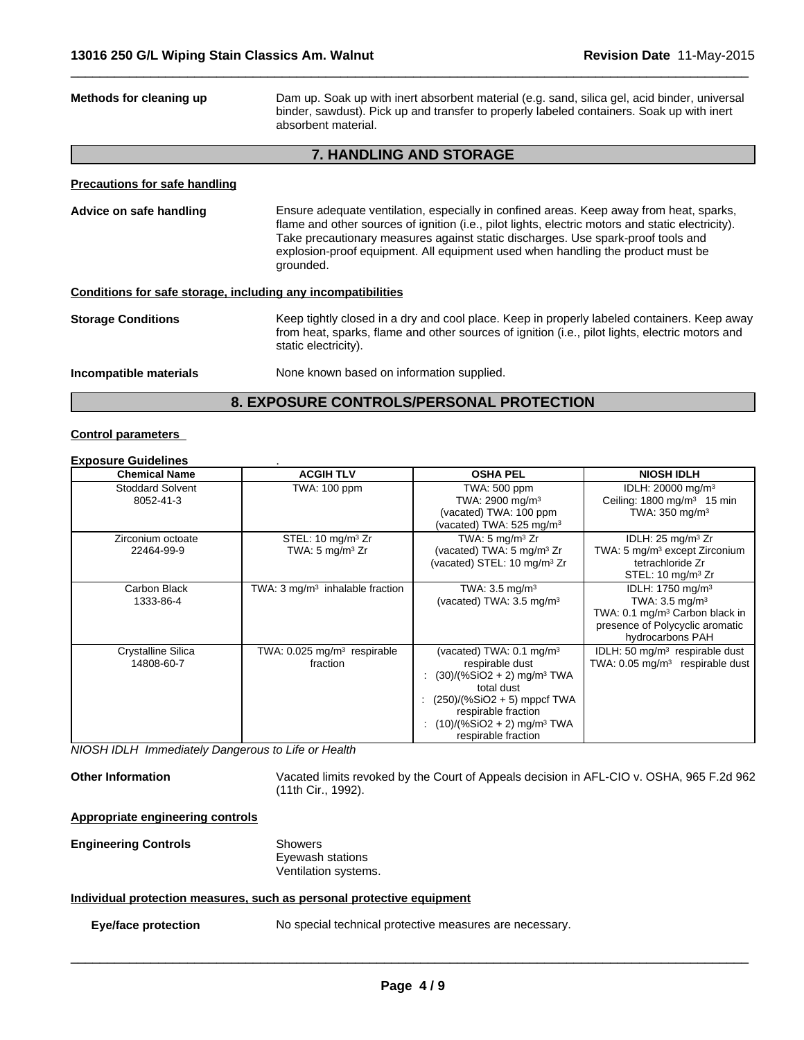| Dam up. Soak up with inert absorbent material (e.g. sand, silica gel, acid binder, universal<br>Methods for cleaning up<br>binder, sawdust). Pick up and transfer to properly labeled containers. Soak up with inert<br>absorbent material. |                                                                                                                                                                                                                                                                                                                                                                                  |  |
|---------------------------------------------------------------------------------------------------------------------------------------------------------------------------------------------------------------------------------------------|----------------------------------------------------------------------------------------------------------------------------------------------------------------------------------------------------------------------------------------------------------------------------------------------------------------------------------------------------------------------------------|--|
|                                                                                                                                                                                                                                             | <b>7. HANDLING AND STORAGE</b>                                                                                                                                                                                                                                                                                                                                                   |  |
| Precautions for safe handling                                                                                                                                                                                                               |                                                                                                                                                                                                                                                                                                                                                                                  |  |
| Advice on safe handling                                                                                                                                                                                                                     | Ensure adequate ventilation, especially in confined areas. Keep away from heat, sparks,<br>flame and other sources of ignition (i.e., pilot lights, electric motors and static electricity).<br>Take precautionary measures against static discharges. Use spark-proof tools and<br>explosion-proof equipment. All equipment used when handling the product must be<br>grounded. |  |
| Conditions for safe storage, including any incompatibilities                                                                                                                                                                                |                                                                                                                                                                                                                                                                                                                                                                                  |  |
| <b>Storage Conditions</b>                                                                                                                                                                                                                   | Keep tightly closed in a dry and cool place. Keep in properly labeled containers. Keep away<br>from heat, sparks, flame and other sources of ignition (i.e., pilot lights, electric motors and<br>static electricity).                                                                                                                                                           |  |
| Incompatible materials                                                                                                                                                                                                                      | None known based on information supplied.                                                                                                                                                                                                                                                                                                                                        |  |
|                                                                                                                                                                                                                                             | <b>8. EXPOSURE CONTROLS/PERSONAL PROTECTION</b>                                                                                                                                                                                                                                                                                                                                  |  |

 $\overline{\phantom{a}}$  ,  $\overline{\phantom{a}}$  ,  $\overline{\phantom{a}}$  ,  $\overline{\phantom{a}}$  ,  $\overline{\phantom{a}}$  ,  $\overline{\phantom{a}}$  ,  $\overline{\phantom{a}}$  ,  $\overline{\phantom{a}}$  ,  $\overline{\phantom{a}}$  ,  $\overline{\phantom{a}}$  ,  $\overline{\phantom{a}}$  ,  $\overline{\phantom{a}}$  ,  $\overline{\phantom{a}}$  ,  $\overline{\phantom{a}}$  ,  $\overline{\phantom{a}}$  ,  $\overline{\phantom{a}}$ 

#### **Control parameters**

# **Exposure Guidelines** .

| <b>Chemical Name</b>                 | <b>ACGIH TLV</b>                                      | <b>OSHA PEL</b>                                                                                                                                                                                                                               | <b>NIOSH IDLH</b>                                                                                                                                                |
|--------------------------------------|-------------------------------------------------------|-----------------------------------------------------------------------------------------------------------------------------------------------------------------------------------------------------------------------------------------------|------------------------------------------------------------------------------------------------------------------------------------------------------------------|
| <b>Stoddard Solvent</b><br>8052-41-3 | TWA: 100 ppm                                          | TWA: 500 ppm<br>TWA: 2900 mg/m <sup>3</sup><br>(vacated) TWA: 100 ppm<br>(vacated) TWA: $525 \text{ mg/m}^3$                                                                                                                                  | IDLH: 20000 mg/m <sup>3</sup><br>Ceiling: $1800 \text{ mg/m}^3$ 15 min<br>TWA: $350 \text{ mg/m}^3$                                                              |
| Zirconium octoate<br>22464-99-9      | STEL: 10 $mg/m3 Zr$<br>TWA: $5 \text{ mg/m}^3$ Zr     | TWA: $5 \text{ mg/m}^3$ Zr<br>(vacated) TWA: 5 mg/m <sup>3</sup> Zr<br>(vacated) STEL: 10 mg/m <sup>3</sup> Zr                                                                                                                                | IDLH: $25 \text{ mg/m}^3$ Zr<br>TWA: 5 mg/m <sup>3</sup> except Zirconium<br>tetrachloride Zr<br>STEL: 10 $mg/m3 Zr$                                             |
| Carbon Black<br>1333-86-4            | TWA: $3 \text{ mg/m}^3$ inhalable fraction            | TWA: $3.5 \text{ mg/m}^3$<br>(vacated) TWA: $3.5 \text{ mg/m}^3$                                                                                                                                                                              | IDLH: $1750$ mg/m <sup>3</sup><br>TWA: $3.5 \text{ mg/m}^3$<br>TWA: 0.1 mg/m <sup>3</sup> Carbon black in<br>presence of Polycyclic aromatic<br>hydrocarbons PAH |
| Crystalline Silica<br>14808-60-7     | TWA: $0.025$ mg/m <sup>3</sup> respirable<br>fraction | (vacated) TWA: $0.1 \text{ mg/m}^3$<br>respirable dust<br>$(30)/(%SiO2 + 2)$ mg/m <sup>3</sup> TWA<br>total dust<br>$(250)/(%SiO2 + 5)$ mppcf TWA<br>respirable fraction<br>: $(10)/(%SiO2 + 2)$ mg/m <sup>3</sup> TWA<br>respirable fraction | IDLH: 50 mg/m <sup>3</sup> respirable dust<br>TWA: $0.05$ mg/m <sup>3</sup> respirable dust                                                                      |

*NIOSH IDLH Immediately Dangerous to Life or Health*

**Other Information** Vacated limits revoked by the Court of Appeals decision in AFL-CIO v. OSHA, 965 F.2d 962 (11th Cir., 1992).

# **Appropriate engineering controls**

**Engineering Controls** Showers

Eyewash stations Ventilation systems.

### **Individual protection measures, such as personal protective equipment**

**Eye/face protection** No special technical protective measures are necessary.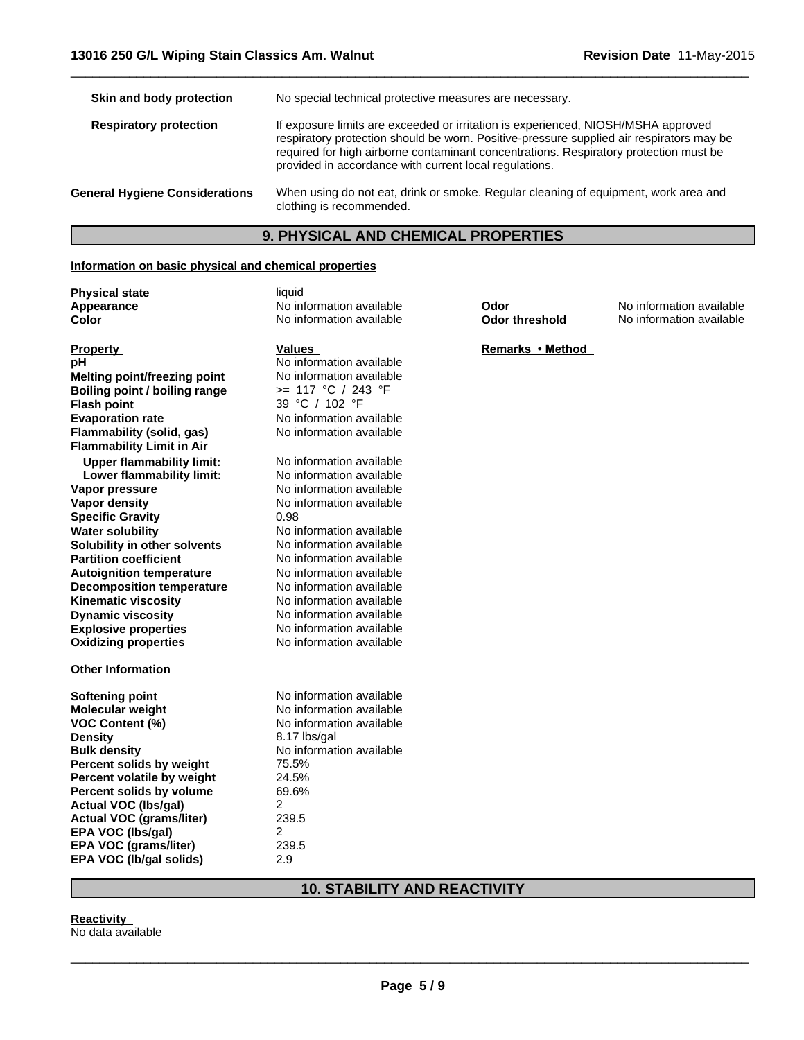| No special technical protective measures are necessary.                                                                                                                                                                                                                                                                          |
|----------------------------------------------------------------------------------------------------------------------------------------------------------------------------------------------------------------------------------------------------------------------------------------------------------------------------------|
| If exposure limits are exceeded or irritation is experienced, NIOSH/MSHA approved<br>respiratory protection should be worn. Positive-pressure supplied air respirators may be<br>required for high airborne contaminant concentrations. Respiratory protection must be<br>provided in accordance with current local regulations. |
| When using do not eat, drink or smoke. Regular cleaning of equipment, work area and<br>clothing is recommended.                                                                                                                                                                                                                  |
|                                                                                                                                                                                                                                                                                                                                  |

 $\overline{\phantom{a}}$  ,  $\overline{\phantom{a}}$  ,  $\overline{\phantom{a}}$  ,  $\overline{\phantom{a}}$  ,  $\overline{\phantom{a}}$  ,  $\overline{\phantom{a}}$  ,  $\overline{\phantom{a}}$  ,  $\overline{\phantom{a}}$  ,  $\overline{\phantom{a}}$  ,  $\overline{\phantom{a}}$  ,  $\overline{\phantom{a}}$  ,  $\overline{\phantom{a}}$  ,  $\overline{\phantom{a}}$  ,  $\overline{\phantom{a}}$  ,  $\overline{\phantom{a}}$  ,  $\overline{\phantom{a}}$ 

# **9. PHYSICAL AND CHEMICAL PROPERTIES**

#### **Information on basic physical and chemical properties**

**Physical state** liquid

**Solubility in other solvents** No information available<br> **Partition coefficient** No information available **Boiling point / boiling range** >= 117 °C / 243 °F **Flash point Appearance Property Flammability (solid, gas) Flammability Limit in Air Upper flammability limit:** No information available<br> **Lower flammability limit:** No information available **pH** No information available<br> **Melting point/freezing point** No information available **Lower flammability limit: Vapor pressure** No information available **Color Vapor density** No information available **Melting point/freezing point Specific Gravity** 0.98 **Water solubility** No information available

**Explosive properties** No information available<br> **Oxidizing properties** No information available **Oxidizing properties Autoignition temperature** No information available<br> **Decomposition temperature** No information available **Decomposition temperature** No information available<br> **Kinematic viscosity** No information available **Kinematic viscosity Dynamic viscosity** No information available

#### **Other Information**

| Softening point                 | No information available |
|---------------------------------|--------------------------|
| <b>Molecular weight</b>         | No information available |
| <b>VOC Content (%)</b>          | No information available |
| <b>Density</b>                  | 8.17 lbs/gal             |
| <b>Bulk density</b>             | No information available |
| Percent solids by weight        | 75.5%                    |
| Percent volatile by weight      | 24.5%                    |
| Percent solids by volume        | 69.6%                    |
| Actual VOC (Ibs/gal)            | 2                        |
| <b>Actual VOC (grams/liter)</b> | 239.5                    |
| EPA VOC (Ibs/gal)               | 2                        |
| <b>EPA VOC (grams/liter)</b>    | 239.5                    |
| EPA VOC (Ib/gal solids)         | 2.9                      |

# **10. STABILITY AND REACTIVITY**

No information available<br>No information available

39 °C / 102 °F

**Values** 

No information available<br>No information available

No information available

No information available

#### **Reactivity**

No data available

**Odor threshold Odor**

No information available No information available

**Remarks•Method**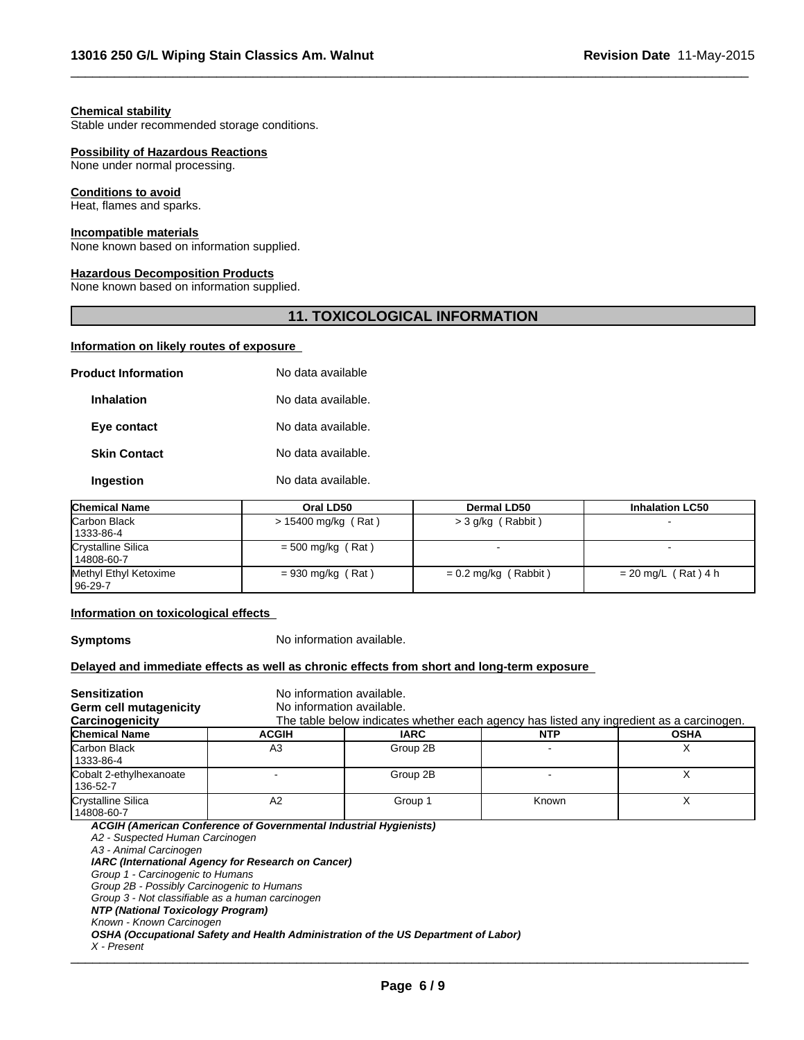#### **Chemical stability**

Stable under recommended storage conditions.

#### **Possibility of Hazardous Reactions**

None under normal processing.

#### **Conditions to avoid**

Heat, flames and sparks.

### **Incompatible materials**

None known based on information supplied.

### **Hazardous Decomposition Products**

None known based on information supplied.

# **11. TOXICOLOGICAL INFORMATION**

 $\overline{\phantom{a}}$  ,  $\overline{\phantom{a}}$  ,  $\overline{\phantom{a}}$  ,  $\overline{\phantom{a}}$  ,  $\overline{\phantom{a}}$  ,  $\overline{\phantom{a}}$  ,  $\overline{\phantom{a}}$  ,  $\overline{\phantom{a}}$  ,  $\overline{\phantom{a}}$  ,  $\overline{\phantom{a}}$  ,  $\overline{\phantom{a}}$  ,  $\overline{\phantom{a}}$  ,  $\overline{\phantom{a}}$  ,  $\overline{\phantom{a}}$  ,  $\overline{\phantom{a}}$  ,  $\overline{\phantom{a}}$ 

#### **Information on likely routes of exposure**

| <b>Product Information</b> | No data available  |
|----------------------------|--------------------|
| <b>Inhalation</b>          | No data available. |
| Eye contact                | No data available. |
| <b>Skin Contact</b>        | No data available. |
| Ingestion                  | No data available. |
|                            |                    |

| <b>Chemical Name</b>               | Oral LD50           | <b>Dermal LD50</b>     | <b>Inhalation LC50</b> |
|------------------------------------|---------------------|------------------------|------------------------|
| Carbon Black<br>  1333-86-4        | > 15400 mg/kg (Rat) | >3 g/kg (Rabbit)       |                        |
| Crystalline Silica<br>14808-60-7   | $=$ 500 mg/kg (Rat) |                        |                        |
| Methyl Ethyl Ketoxime<br>  96-29-7 | $= 930$ mg/kg (Rat) | $= 0.2$ mg/kg (Rabbit) | $= 20$ mg/L (Rat) 4 h  |

#### **Information on toxicological effects**

**Symptoms** No information available.

#### **Delayed and immediate effects as well as chronic effects from short and long-term exposure**

| <b>Sensitization</b>                                                                                                                                                                                                                                                            |                                                                                                                         | No information available.                                                                |            |             |
|---------------------------------------------------------------------------------------------------------------------------------------------------------------------------------------------------------------------------------------------------------------------------------|-------------------------------------------------------------------------------------------------------------------------|------------------------------------------------------------------------------------------|------------|-------------|
| Germ cell mutagenicity                                                                                                                                                                                                                                                          |                                                                                                                         | No information available.                                                                |            |             |
| Carcinogenicity                                                                                                                                                                                                                                                                 |                                                                                                                         | The table below indicates whether each agency has listed any ingredient as a carcinogen. |            |             |
| <b>Chemical Name</b>                                                                                                                                                                                                                                                            | <b>ACGIH</b>                                                                                                            | <b>IARC</b>                                                                              | <b>NTP</b> | <b>OSHA</b> |
| lCarbon Black<br>1333-86-4                                                                                                                                                                                                                                                      | A3                                                                                                                      | Group 2B                                                                                 |            | X           |
| Cobalt 2-ethylhexanoate<br>136-52-7                                                                                                                                                                                                                                             |                                                                                                                         | Group 2B                                                                                 |            | X           |
| Crystalline Silica<br>14808-60-7                                                                                                                                                                                                                                                | A2                                                                                                                      | Group 1                                                                                  | Known      | X           |
| A2 - Suspected Human Carcinogen<br>A3 - Animal Carcinogen<br>Group 1 - Carcinogenic to Humans<br>Group 2B - Possibly Carcinogenic to Humans<br>Group 3 - Not classifiable as a human carcinogen<br>NTP (National Toxicology Program)<br>Known - Known Carcinogen<br>X - Present | ACGIH (American Conference of Governmental Industrial Hygienists)<br>IARC (International Agency for Research on Cancer) | OSHA (Occupational Safety and Health Administration of the US Department of Labor)       |            |             |

*X - Present* \_\_\_\_\_\_\_\_\_\_\_\_\_\_\_\_\_\_\_\_\_\_\_\_\_\_\_\_\_\_\_\_\_\_\_\_\_\_\_\_\_\_\_\_\_\_\_\_\_\_\_\_\_\_\_\_\_\_\_\_\_\_\_\_\_\_\_\_\_\_\_\_\_\_\_\_\_\_\_\_\_\_\_\_\_\_\_\_\_\_\_\_\_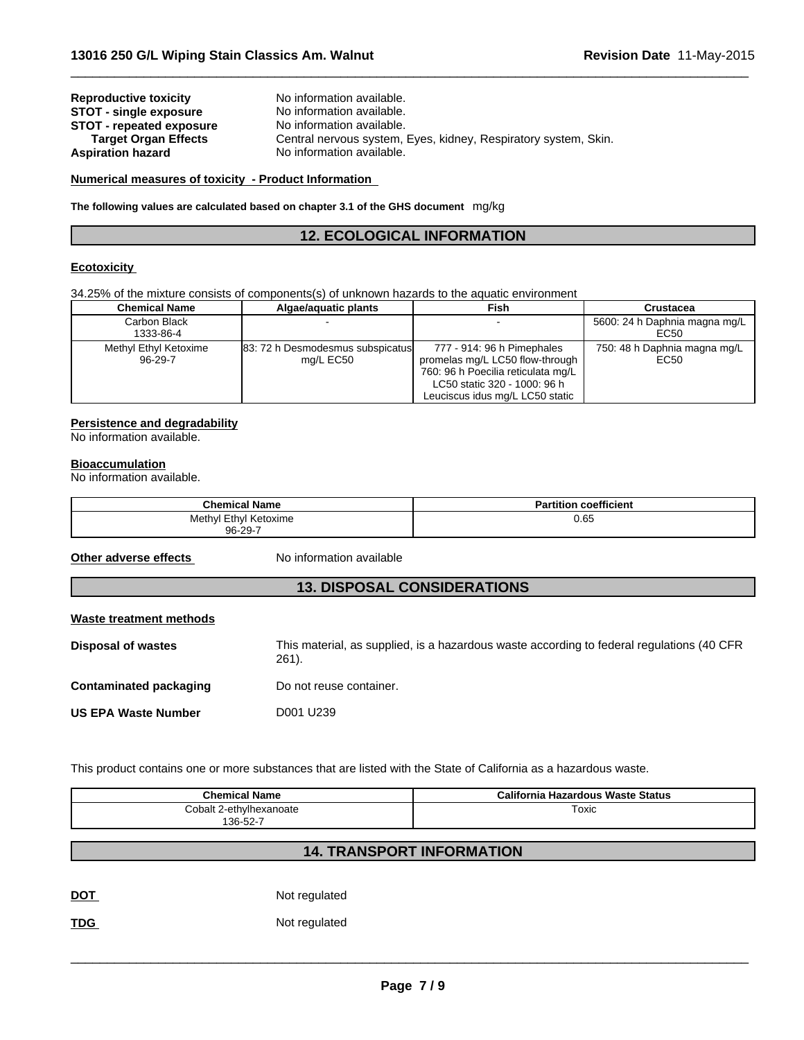| <b>Reproductive toxicity</b>    | No information available.                                       |
|---------------------------------|-----------------------------------------------------------------|
| <b>STOT - single exposure</b>   | No information available.                                       |
| <b>STOT - repeated exposure</b> | No information available.                                       |
| <b>Target Organ Effects</b>     | Central nervous system, Eyes, kidney, Respiratory system, Skin. |
| <b>Aspiration hazard</b>        | No information available.                                       |

# **Numerical measures of toxicity - Product Information**

**The following values are calculated based on chapter 3.1 of the GHS document** mg/kg

# **12. ECOLOGICAL INFORMATION**

 $\overline{\phantom{a}}$  ,  $\overline{\phantom{a}}$  ,  $\overline{\phantom{a}}$  ,  $\overline{\phantom{a}}$  ,  $\overline{\phantom{a}}$  ,  $\overline{\phantom{a}}$  ,  $\overline{\phantom{a}}$  ,  $\overline{\phantom{a}}$  ,  $\overline{\phantom{a}}$  ,  $\overline{\phantom{a}}$  ,  $\overline{\phantom{a}}$  ,  $\overline{\phantom{a}}$  ,  $\overline{\phantom{a}}$  ,  $\overline{\phantom{a}}$  ,  $\overline{\phantom{a}}$  ,  $\overline{\phantom{a}}$ 

# **Ecotoxicity**

34.25% of the mixture consists of components(s) of unknown hazards to the aquatic environment

| <b>Chemical Name</b>             | Algae/aguatic plants                          | <b>Fish</b>                                                                                                                                                              | Crustacea                             |
|----------------------------------|-----------------------------------------------|--------------------------------------------------------------------------------------------------------------------------------------------------------------------------|---------------------------------------|
| Carbon Black<br>1333-86-4        |                                               |                                                                                                                                                                          | 5600: 24 h Daphnia magna mg/L<br>EC50 |
| Methyl Ethyl Ketoxime<br>96-29-7 | 83: 72 h Desmodesmus subspicatus<br>mg/L EC50 | 777 - 914: 96 h Pimephales<br>promelas mg/L LC50 flow-through  <br>760: 96 h Poecilia reticulata mg/L<br>LC50 static 320 - 1000: 96 h<br>Leuciscus idus mg/L LC50 static | 750: 48 h Daphnia magna mg/L<br>EC50  |

# **Persistence and degradability**

No information available.

#### **Bioaccumulation**

No information available.

| <b>Chemical Name</b>       | coefficient<br>Partition |
|----------------------------|--------------------------|
| I Ethyl Ketoxime<br>Methyl | 0.65                     |
| 96-29-7                    |                          |

**Other adverse effects** No information available

# **13. DISPOSAL CONSIDERATIONS**

| Waste treatment methods    |                                                                                                    |
|----------------------------|----------------------------------------------------------------------------------------------------|
| Disposal of wastes         | This material, as supplied, is a hazardous waste according to federal regulations (40 CFR<br>261). |
| Contaminated packaging     | Do not reuse container.                                                                            |
| <b>US EPA Waste Number</b> | D001 U239                                                                                          |

This product contains one or more substances that are listed with the State of California as a hazardous waste.

| <b>Chemical Name</b>    | California Hazardous Waste Status |
|-------------------------|-----------------------------------|
| Cobalt 2-ethylhexanoate | Toxic                             |
| $136 - 52 - 7$          |                                   |

# **14. TRANSPORT INFORMATION**

DOT Not regulated

TDG Not regulated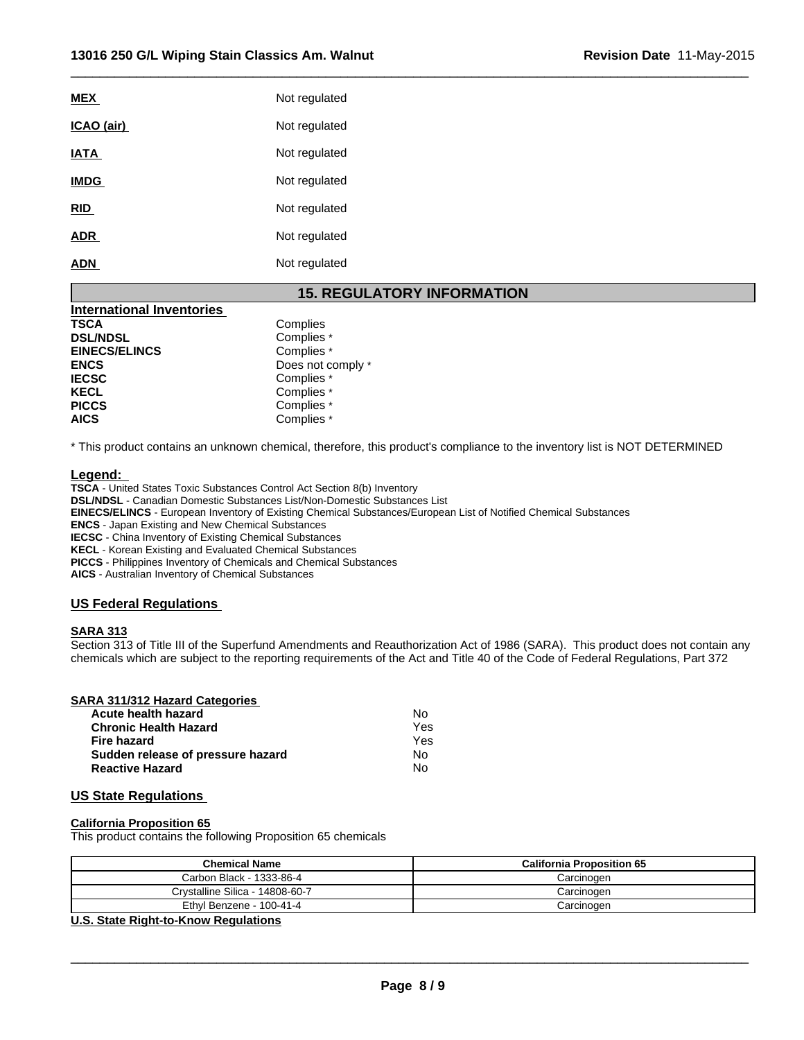| Not regulated |
|---------------|
| Not regulated |
| Not regulated |
| Not regulated |
| Not regulated |
| Not regulated |
| Not regulated |
|               |

# **15. REGULATORY INFORMATION**

 $\overline{\phantom{a}}$  ,  $\overline{\phantom{a}}$  ,  $\overline{\phantom{a}}$  ,  $\overline{\phantom{a}}$  ,  $\overline{\phantom{a}}$  ,  $\overline{\phantom{a}}$  ,  $\overline{\phantom{a}}$  ,  $\overline{\phantom{a}}$  ,  $\overline{\phantom{a}}$  ,  $\overline{\phantom{a}}$  ,  $\overline{\phantom{a}}$  ,  $\overline{\phantom{a}}$  ,  $\overline{\phantom{a}}$  ,  $\overline{\phantom{a}}$  ,  $\overline{\phantom{a}}$  ,  $\overline{\phantom{a}}$ 

| International Inventories |                   |
|---------------------------|-------------------|
| <b>TSCA</b>               | Complies          |
| <b>DSL/NDSL</b>           | Complies *        |
| <b>EINECS/ELINCS</b>      | Complies *        |
| <b>ENCS</b>               | Does not comply * |
| <b>IECSC</b>              | Complies *        |
| <b>KECL</b>               | Complies *        |
| <b>PICCS</b>              | Complies *        |
| <b>AICS</b>               | Complies *        |

\* This product contains an unknown chemical, therefore, this product's compliance to the inventory list is NOT DETERMINED

#### **Legend:**

**TSCA** - United States Toxic Substances Control Act Section 8(b) Inventory **DSL/NDSL** - Canadian Domestic Substances List/Non-Domestic Substances List **EINECS/ELINCS** - European Inventory of Existing Chemical Substances/European List of Notified Chemical Substances **ENCS** - Japan Existing and New Chemical Substances **IECSC** - China Inventory of Existing Chemical Substances **KECL** - Korean Existing and Evaluated Chemical Substances **PICCS** - Philippines Inventory of Chemicals and Chemical Substances **AICS** - Australian Inventory of Chemical Substances

#### **US Federal Regulations**

#### **SARA 313**

Section 313 of Title III of the Superfund Amendments and Reauthorization Act of 1986 (SARA). This product does not contain any chemicals which are subject to the reporting requirements of the Act and Title 40 of the Code of Federal Regulations, Part 372

#### **SARA 311/312 Hazard Categories**

| Acute health hazard               | N٥  |  |
|-----------------------------------|-----|--|
| <b>Chronic Health Hazard</b>      | Yes |  |
| Fire hazard                       | Yes |  |
| Sudden release of pressure hazard | N٥  |  |
| <b>Reactive Hazard</b>            | N٥  |  |

# **US State Regulations**

#### **California Proposition 65**

This product contains the following Proposition 65 chemicals

| Chemical Name                   | <b>California Proposition 65</b> |
|---------------------------------|----------------------------------|
| Carbon Black - 1333-86-4        | Carcinogen                       |
| Crvstalline Silica - 14808-60-7 | Carcinogen                       |
| Ethyl Benzene - 100-41-4        | Carcinogen                       |

#### **U.S. State Right-to-Know Regulations**